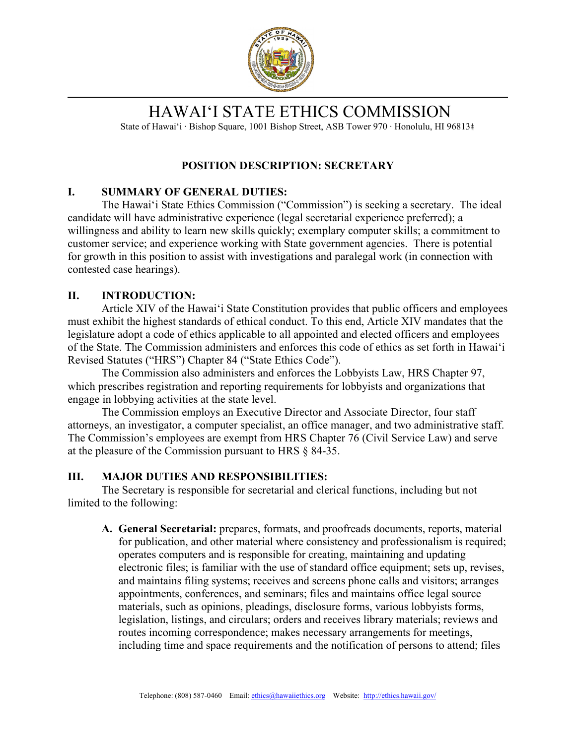

# HAWAIʻI STATE ETHICS COMMISSION

State of Hawaiʻi ∙ Bishop Square, 1001 Bishop Street, ASB Tower 970 ∙ Honolulu, HI 96813

#### **POSITION DESCRIPTION: SECRETARY**

#### **I. SUMMARY OF GENERAL DUTIES:**

The Hawaiʻi State Ethics Commission ("Commission") is seeking a secretary. The ideal candidate will have administrative experience (legal secretarial experience preferred); a willingness and ability to learn new skills quickly; exemplary computer skills; a commitment to customer service; and experience working with State government agencies. There is potential for growth in this position to assist with investigations and paralegal work (in connection with contested case hearings).

#### **II. INTRODUCTION:**

Article XIV of the Hawaiʻi State Constitution provides that public officers and employees must exhibit the highest standards of ethical conduct. To this end, Article XIV mandates that the legislature adopt a code of ethics applicable to all appointed and elected officers and employees of the State. The Commission administers and enforces this code of ethics as set forth in Hawaiʻi Revised Statutes ("HRS") Chapter 84 ("State Ethics Code").

The Commission also administers and enforces the Lobbyists Law, HRS Chapter 97, which prescribes registration and reporting requirements for lobbyists and organizations that engage in lobbying activities at the state level.

The Commission employs an Executive Director and Associate Director, four staff attorneys, an investigator, a computer specialist, an office manager, and two administrative staff. The Commission's employees are exempt from HRS Chapter 76 (Civil Service Law) and serve at the pleasure of the Commission pursuant to HRS § 84-35.

#### **III. MAJOR DUTIES AND RESPONSIBILITIES:**

The Secretary is responsible for secretarial and clerical functions, including but not limited to the following:

**A. General Secretarial:** prepares, formats, and proofreads documents, reports, material for publication, and other material where consistency and professionalism is required; operates computers and is responsible for creating, maintaining and updating electronic files; is familiar with the use of standard office equipment; sets up, revises, and maintains filing systems; receives and screens phone calls and visitors; arranges appointments, conferences, and seminars; files and maintains office legal source materials, such as opinions, pleadings, disclosure forms, various lobbyists forms, legislation, listings, and circulars; orders and receives library materials; reviews and routes incoming correspondence; makes necessary arrangements for meetings, including time and space requirements and the notification of persons to attend; files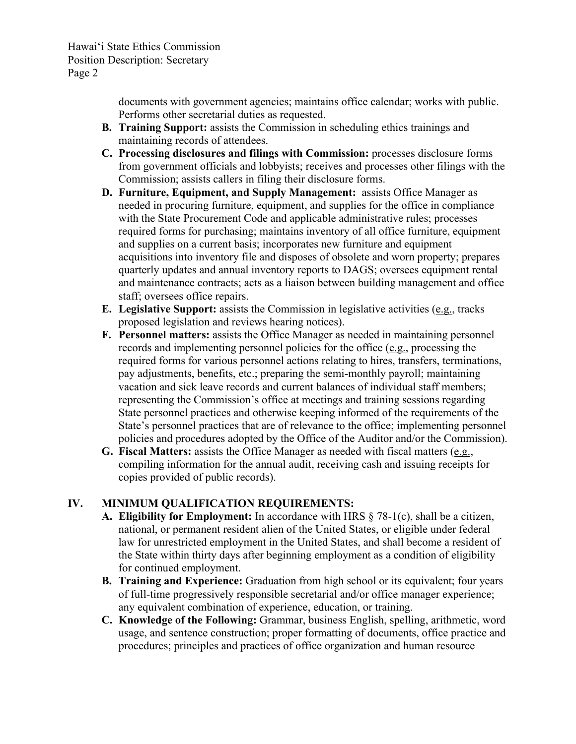Hawai'i State Ethics Commission Position Description: Secretary Page 2

> documents with government agencies; maintains office calendar; works with public. Performs other secretarial duties as requested.

- **B. Training Support:** assists the Commission in scheduling ethics trainings and maintaining records of attendees.
- **C. Processing disclosures and filings with Commission:** processes disclosure forms from government officials and lobbyists; receives and processes other filings with the Commission; assists callers in filing their disclosure forms.
- **D. Furniture, Equipment, and Supply Management:** assists Office Manager as needed in procuring furniture, equipment, and supplies for the office in compliance with the State Procurement Code and applicable administrative rules; processes required forms for purchasing; maintains inventory of all office furniture, equipment and supplies on a current basis; incorporates new furniture and equipment acquisitions into inventory file and disposes of obsolete and worn property; prepares quarterly updates and annual inventory reports to DAGS; oversees equipment rental and maintenance contracts; acts as a liaison between building management and office staff; oversees office repairs.
- **E. Legislative Support:** assists the Commission in legislative activities (e.g., tracks proposed legislation and reviews hearing notices).
- **F. Personnel matters:** assists the Office Manager as needed in maintaining personnel records and implementing personnel policies for the office (e.g., processing the required forms for various personnel actions relating to hires, transfers, terminations, pay adjustments, benefits, etc.; preparing the semi-monthly payroll; maintaining vacation and sick leave records and current balances of individual staff members; representing the Commission's office at meetings and training sessions regarding State personnel practices and otherwise keeping informed of the requirements of the State's personnel practices that are of relevance to the office; implementing personnel policies and procedures adopted by the Office of the Auditor and/or the Commission).
- **G. Fiscal Matters:** assists the Office Manager as needed with fiscal matters (e.g., compiling information for the annual audit, receiving cash and issuing receipts for copies provided of public records).

#### **IV. MINIMUM QUALIFICATION REQUIREMENTS:**

- **A. Eligibility for Employment:** In accordance with HRS § 78-1(c), shall be a citizen, national, or permanent resident alien of the United States, or eligible under federal law for unrestricted employment in the United States, and shall become a resident of the State within thirty days after beginning employment as a condition of eligibility for continued employment.
- **B. Training and Experience:** Graduation from high school or its equivalent; four years of full-time progressively responsible secretarial and/or office manager experience; any equivalent combination of experience, education, or training.
- **C. Knowledge of the Following:** Grammar, business English, spelling, arithmetic, word usage, and sentence construction; proper formatting of documents, office practice and procedures; principles and practices of office organization and human resource